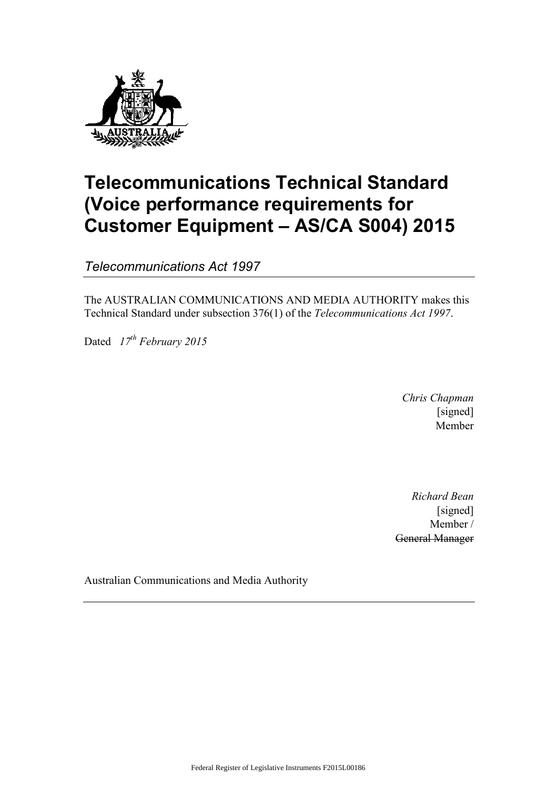

# **Telecommunications Technical Standard (Voice performance requirements for Customer Equipment – AS/CA S004) 2015**

*Telecommunications Act 1997*

The AUSTRALIAN COMMUNICATIONS AND MEDIA AUTHORITY makes this Technical Standard under subsection 376(1) of the *Telecommunications Act 1997*.

Dated *17th February 2015*

*Chris Chapman* [signed] Member

*Richard Bean* [signed] Member / General Manager

Australian Communications and Media Authority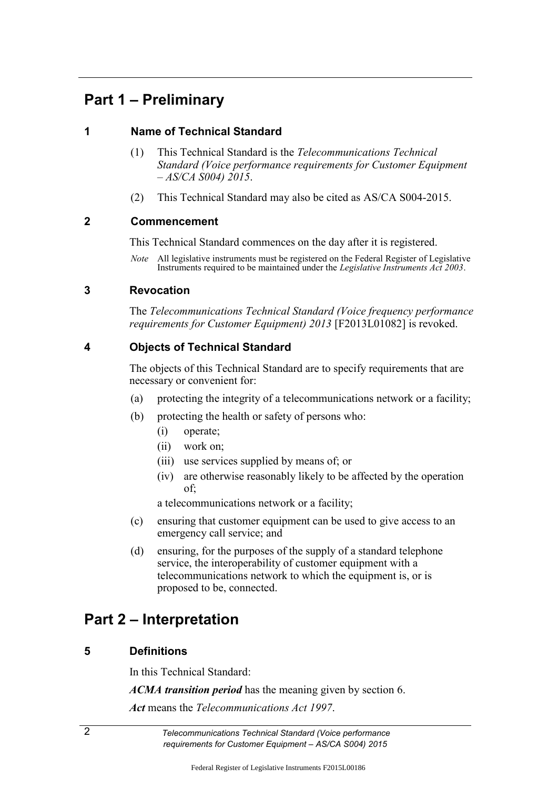## **Part 1 – Preliminary**

## **1 Name of Technical Standard**

- (1) This Technical Standard is the *Telecommunications Technical Standard (Voice performance requirements for Customer Equipment – AS/CA S004) 2015*.
- (2) This Technical Standard may also be cited as AS/CA S004-2015.

## **2 Commencement**

This Technical Standard commences on the day after it is registered.

*Note* All legislative instruments must be registered on the Federal Register of Legislative Instruments required to be maintained under the *Legislative Instruments Act 2003*.

## **3 Revocation**

The *Telecommunications Technical Standard (Voice frequency performance requirements for Customer Equipment) 2013* [F2013L01082] is revoked.

## **4 Objects of Technical Standard**

The objects of this Technical Standard are to specify requirements that are necessary or convenient for:

- (a) protecting the integrity of a telecommunications network or a facility;
- (b) protecting the health or safety of persons who:
	- (i) operate;
	- (ii) work on;
	- (iii) use services supplied by means of; or
	- (iv) are otherwise reasonably likely to be affected by the operation of;

a telecommunications network or a facility;

- (c) ensuring that customer equipment can be used to give access to an emergency call service; and
- (d) ensuring, for the purposes of the supply of a standard telephone service, the interoperability of customer equipment with a telecommunications network to which the equipment is, or is proposed to be, connected.

## **Part 2 – Interpretation**

## **5 Definitions**

In this Technical Standard:

*ACMA transition period* has the meaning given by section 6.

*Act* means the *Telecommunications Act 1997*.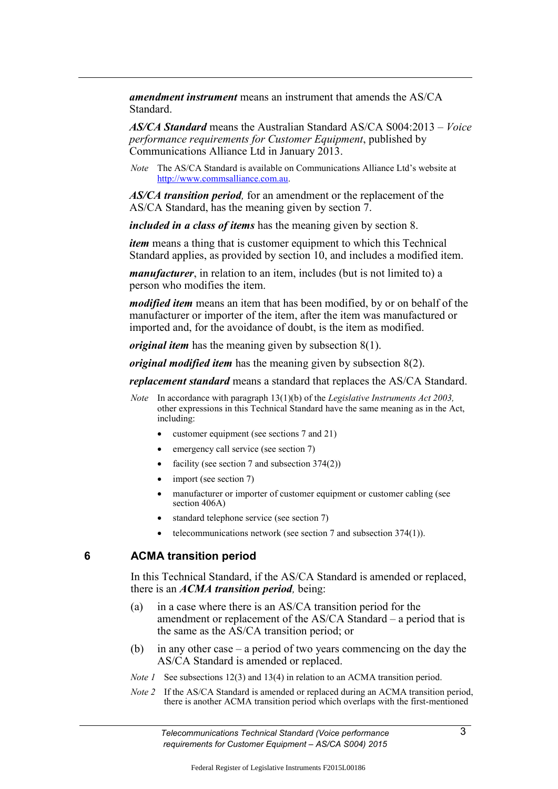*amendment instrument* means an instrument that amends the AS/CA **Standard** 

*AS/CA Standard* means the Australian Standard AS/CA S004:2013 – *Voice performance requirements for Customer Equipment*, published by Communications Alliance Ltd in January 2013.

*Note* The AS/CA Standard is available on Communications Alliance Ltd's website at [http://www.commsalliance.com.au.](http://www.commsalliance.com.au/)

*AS/CA transition period,* for an amendment or the replacement of the AS/CA Standard, has the meaning given by section 7.

*included in a class of items* has the meaning given by section 8.

*item* means a thing that is customer equipment to which this Technical Standard applies, as provided by section 10, and includes a modified item.

*manufacturer*, in relation to an item, includes (but is not limited to) a person who modifies the item.

*modified item* means an item that has been modified, by or on behalf of the manufacturer or importer of the item, after the item was manufactured or imported and, for the avoidance of doubt, is the item as modified.

*original item* has the meaning given by subsection 8(1).

*original modified item* has the meaning given by subsection 8(2).

*replacement standard* means a standard that replaces the AS/CA Standard.

- *Note* In accordance with paragraph 13(1)(b) of the *Legislative Instruments Act 2003,* other expressions in this Technical Standard have the same meaning as in the Act, including:
	- customer equipment (see sections 7 and 21)
	- emergency call service (see section 7)
	- facility (see section 7 and subsection 374(2))
	- $\bullet$  import (see section 7)
	- manufacturer or importer of customer equipment or customer cabling (see section 406A)
	- standard telephone service (see section 7)
	- $\bullet$  telecommunications network (see section 7 and subsection 374(1)).

#### **6 ACMA transition period**

In this Technical Standard, if the AS/CA Standard is amended or replaced, there is an *ACMA transition period,* being:

- (a) in a case where there is an AS/CA transition period for the amendment or replacement of the AS/CA Standard – a period that is the same as the AS/CA transition period; or
- (b) in any other case a period of two years commencing on the day the AS/CA Standard is amended or replaced.
- *Note l* See subsections 12(3) and 13(4) in relation to an ACMA transition period.
- *Note 2* If the AS/CA Standard is amended or replaced during an ACMA transition period, there is another ACMA transition period which overlaps with the first-mentioned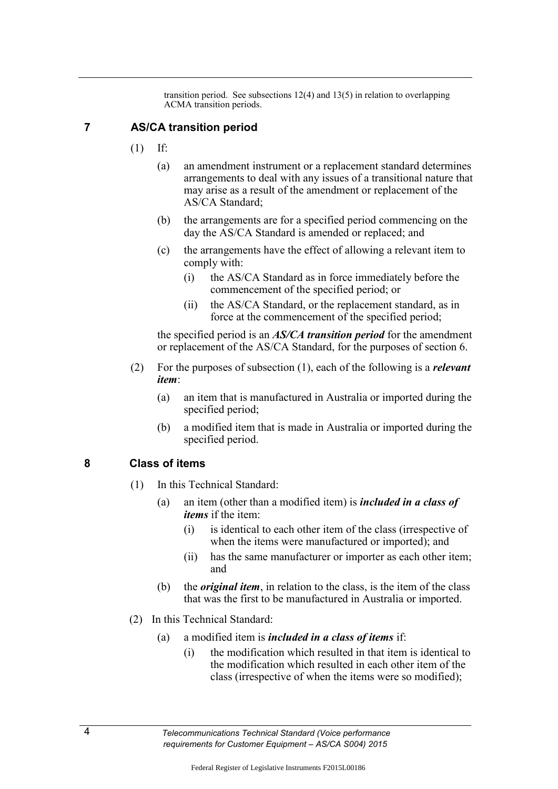transition period. See subsections 12(4) and 13(5) in relation to overlapping ACMA transition periods.

#### **7 AS/CA transition period**

- (1) If:
	- (a) an amendment instrument or a replacement standard determines arrangements to deal with any issues of a transitional nature that may arise as a result of the amendment or replacement of the AS/CA Standard;
	- (b) the arrangements are for a specified period commencing on the day the AS/CA Standard is amended or replaced; and
	- (c) the arrangements have the effect of allowing a relevant item to comply with:
		- (i) the AS/CA Standard as in force immediately before the commencement of the specified period; or
		- (ii) the AS/CA Standard, or the replacement standard, as in force at the commencement of the specified period;

the specified period is an *AS/CA transition period* for the amendment or replacement of the AS/CA Standard, for the purposes of section 6.

- (2) For the purposes of subsection (1), each of the following is a *relevant item*:
	- (a) an item that is manufactured in Australia or imported during the specified period;
	- (b) a modified item that is made in Australia or imported during the specified period.

#### **8 Class of items**

- (1) In this Technical Standard:
	- (a) an item (other than a modified item) is *included in a class of items* if the item:
		- (i) is identical to each other item of the class (irrespective of when the items were manufactured or imported); and
		- (ii) has the same manufacturer or importer as each other item; and
	- (b) the *original item*, in relation to the class, is the item of the class that was the first to be manufactured in Australia or imported.
- (2) In this Technical Standard:
	- (a) a modified item is *included in a class of items* if:
		- (i) the modification which resulted in that item is identical to the modification which resulted in each other item of the class (irrespective of when the items were so modified);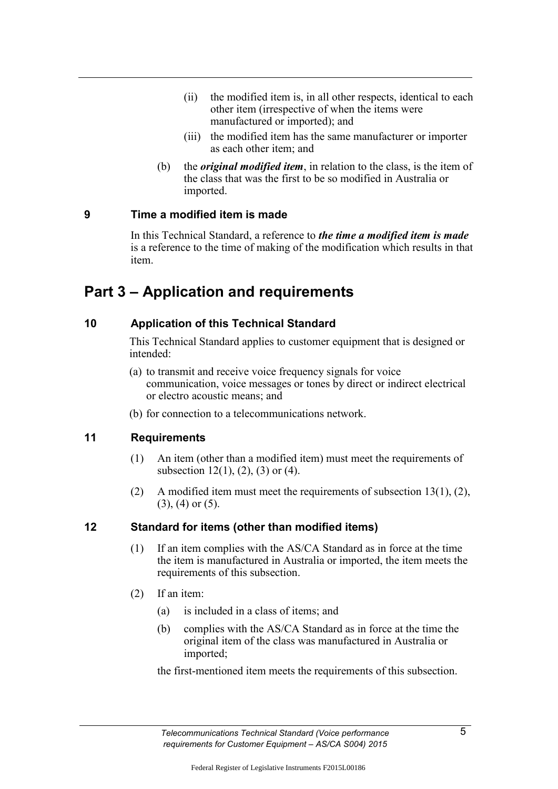- (ii) the modified item is, in all other respects, identical to each other item (irrespective of when the items were manufactured or imported); and
- (iii) the modified item has the same manufacturer or importer as each other item; and
- (b) the *original modified item*, in relation to the class, is the item of the class that was the first to be so modified in Australia or imported.

#### **9 Time a modified item is made**

In this Technical Standard, a reference to *the time a modified item is made*  is a reference to the time of making of the modification which results in that item.

## **Part 3 – Application and requirements**

## **10 Application of this Technical Standard**

This Technical Standard applies to customer equipment that is designed or intended:

- (a) to transmit and receive voice frequency signals for voice communication, voice messages or tones by direct or indirect electrical or electro acoustic means; and
- (b) for connection to a telecommunications network.

## **11 Requirements**

- (1) An item (other than a modified item) must meet the requirements of subsection  $12(1)$ ,  $(2)$ ,  $(3)$  or  $(4)$ .
- (2) A modified item must meet the requirements of subsection  $13(1)$ , (2), (3), (4) or (5).

## **12 Standard for items (other than modified items)**

- (1) If an item complies with the AS/CA Standard as in force at the time the item is manufactured in Australia or imported, the item meets the requirements of this subsection.
- (2) If an item:
	- (a) is included in a class of items; and
	- (b) complies with the AS/CA Standard as in force at the time the original item of the class was manufactured in Australia or imported;

the first-mentioned item meets the requirements of this subsection.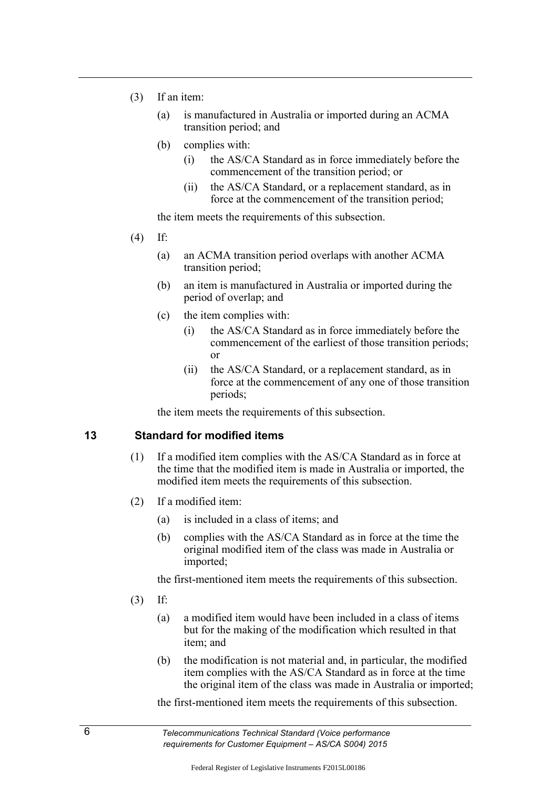- (3) If an item:
	- (a) is manufactured in Australia or imported during an ACMA transition period; and
	- (b) complies with:
		- (i) the AS/CA Standard as in force immediately before the commencement of the transition period; or
		- (ii) the AS/CA Standard, or a replacement standard, as in force at the commencement of the transition period;

the item meets the requirements of this subsection.

- (4) If:
	- (a) an ACMA transition period overlaps with another ACMA transition period;
	- (b) an item is manufactured in Australia or imported during the period of overlap; and
	- (c) the item complies with:
		- (i) the AS/CA Standard as in force immediately before the commencement of the earliest of those transition periods; or
		- (ii) the AS/CA Standard, or a replacement standard, as in force at the commencement of any one of those transition periods;

the item meets the requirements of this subsection.

#### **13 Standard for modified items**

- (1) If a modified item complies with the AS/CA Standard as in force at the time that the modified item is made in Australia or imported, the modified item meets the requirements of this subsection.
- (2) If a modified item:
	- (a) is included in a class of items; and
	- (b) complies with the AS/CA Standard as in force at the time the original modified item of the class was made in Australia or imported;

the first-mentioned item meets the requirements of this subsection.

- (3) If:
	- (a) a modified item would have been included in a class of items but for the making of the modification which resulted in that item; and
	- (b) the modification is not material and, in particular, the modified item complies with the AS/CA Standard as in force at the time the original item of the class was made in Australia or imported;

the first-mentioned item meets the requirements of this subsection.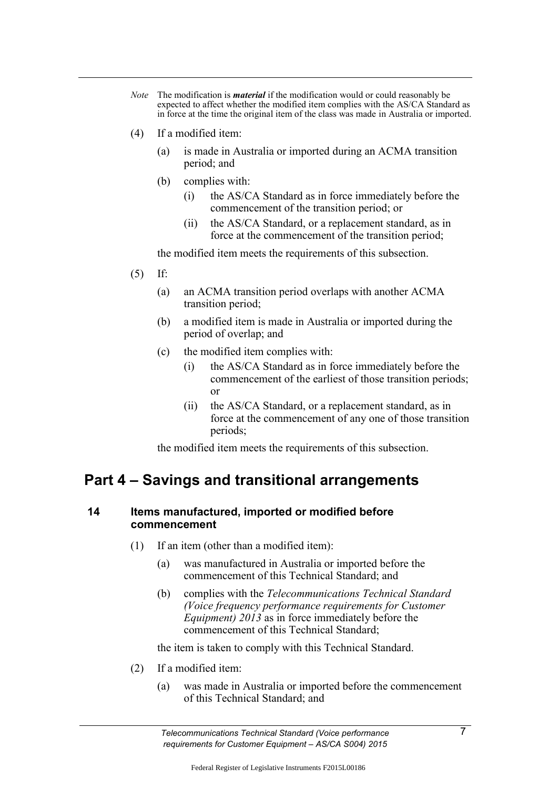- *Note* The modification is *material* if the modification would or could reasonably be expected to affect whether the modified item complies with the AS/CA Standard as in force at the time the original item of the class was made in Australia or imported.
- (4) If a modified item:
	- (a) is made in Australia or imported during an ACMA transition period; and
	- (b) complies with:
		- (i) the AS/CA Standard as in force immediately before the commencement of the transition period; or
		- (ii) the AS/CA Standard, or a replacement standard, as in force at the commencement of the transition period;

the modified item meets the requirements of this subsection.

- (5) If:
	- (a) an ACMA transition period overlaps with another ACMA transition period;
	- (b) a modified item is made in Australia or imported during the period of overlap; and
	- (c) the modified item complies with:
		- (i) the AS/CA Standard as in force immediately before the commencement of the earliest of those transition periods; or
		- (ii) the AS/CA Standard, or a replacement standard, as in force at the commencement of any one of those transition periods;

the modified item meets the requirements of this subsection.

## **Part 4 – Savings and transitional arrangements**

### **14 Items manufactured, imported or modified before commencement**

- (1) If an item (other than a modified item):
	- (a) was manufactured in Australia or imported before the commencement of this Technical Standard; and
	- (b) complies with the *Telecommunications Technical Standard (Voice frequency performance requirements for Customer Equipment) 2013* as in force immediately before the commencement of this Technical Standard;

the item is taken to comply with this Technical Standard.

- (2) If a modified item:
	- (a) was made in Australia or imported before the commencement of this Technical Standard; and